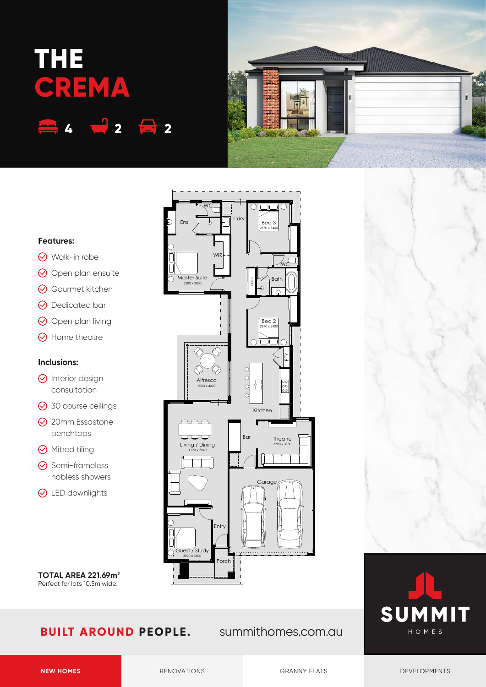# **THE CREMA 4 2 2**



### **Features:**

- Walk-in robe
- O Open plan ensuite
- Gourmet kitchen
- **⊙** Dedicated bar
- $\odot$  Open plan living
- **⊙** Home theatre

#### **Inclusions:**

- $\odot$  Interior design consultation
- **⊙** 30 course ceilings
- **⊙** 20mm Essastone benchtops
- **⊙** Mitred tiling
- **⊙** Semi-frameless hobless showers
- **⊙** LED downlights

**TOTAL AREA 221.69m2** Perfect for lots 10.5m wide.

## **BUILT AROUND PEOPLE.** summithomes.com.au

Kitchen

**Ba** 

 $\begin{matrix} 0 \\ 0 \\ 0 \end{matrix}$  $\begin{array}{c} \end{array}$  $\circ$ 

Linen

Bath

Bed 3<br><sub>2870 x 3400</sub>

<u>WC</u>

PTY

Bed 2  $2870 \times 34$ 

Garage

**Theatre** 3700 x 3180

 $\begin{array}{ccc} \mathsf{Ens} & \overline{\phantom{0}} & \mathsf{d} \end{array}$   $\begin{array}{ccc} \mathsf{Ens} & \overline{\phantom{0}} & \mathsf{d} \end{array}$ 

WC

WII

Master Suite 3200 x 3830





Porch

Guest / Study<br>3030 x 3600

Living / Dining<br>4170 x 7040

Alfresco 3000 x 4000

**Entry**